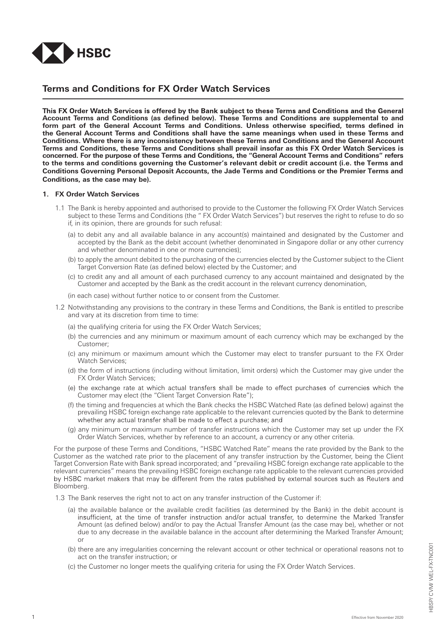

# **Terms and Conditions for FX Order Watch Services**

This FX Order Watch Services is offered by the Bank subject to these Terms and Conditions and the General **Account Terms and Conditions (as defined below). These Terms and Conditions are supplemental to and form part of the General Account Terms and Conditions. Unless otherwise specified, terms defined in the General Account Terms and Conditions shall have the same meanings when used in these Terms and Conditions. Where there is any inconsistency between these Terms and Conditions and the General Account**  Terms and Conditions, these Terms and Conditions shall prevail insofar as this FX Order Watch Services is **concerned. For the purpose of these Terms and Conditions, the "General Account Terms and Conditions" refers to the terms and conditions governing the Customer's relevant debit or credit account (i.e. the Terms and Conditions Governing Personal Deposit Accounts, the Jade Terms and Conditions or the Premier Terms and Conditions, as the case may be).**

## **1. FX Order Watch Services**

- 1.1 The Bank is hereby appointed and authorised to provide to the Customer the following FX Order Watch Services subject to these Terms and Conditions (the " FX Order Watch Services") but reserves the right to refuse to do so if, in its opinion, there are grounds for such refusal:
	- (a) to debit any and all available balance in any account(s) maintained and designated by the Customer and accepted by the Bank as the debit account (whether denominated in Singapore dollar or any other currency and whether denominated in one or more currencies);
	- (b) to apply the amount debited to the purchasing of the currencies elected by the Customer subject to the Client Target Conversion Rate (as defined below) elected by the Customer; and
	- (c) to credit any and all amount of each purchased currency to any account maintained and designated by the Customer and accepted by the Bank as the credit account in the relevant currency denomination,

(in each case) without further notice to or consent from the Customer.

- 1.2 Notwithstanding any provisions to the contrary in these Terms and Conditions, the Bank is entitled to prescribe and vary at its discretion from time to time:
	- (a) the qualifying criteria for using the FX Order Watch Services;
	- (b) the currencies and any minimum or maximum amount of each currency which may be exchanged by the Customer;
	- (c) any minimum or maximum amount which the Customer may elect to transfer pursuant to the FX Order Watch Services;
	- (d) the form of instructions (including without limitation, limit orders) which the Customer may give under the FX Order Watch Services;
	- (e) the exchange rate at which actual transfers shall be made to effect purchases of currencies which the Customer may elect (the "Client Target Conversion Rate");
	- (f) the timing and frequencies at which the Bank checks the HSBC Watched Rate (as defined below) against the prevailing HSBC foreign exchange rate applicable to the relevant currencies quoted by the Bank to determine whether any actual transfer shall be made to effect a purchase; and
	- (g) any minimum or maximum number of transfer instructions which the Customer may set up under the FX Order Watch Services, whether by reference to an account, a currency or any other criteria.

For the purpose of these Terms and Conditions, "HSBC Watched Rate" means the rate provided by the Bank to the Customer as the watched rate prior to the placement of any transfer instruction by the Customer, being the Client Target Conversion Rate with Bank spread incorporated; and "prevailing HSBC foreign exchange rate applicable to the relevant currencies" means the prevailing HSBC foreign exchange rate applicable to the relevant currencies provided<br>by HSBC market makers that may be different from the rates published by external sources such as Reuters a Bloomberg.

- 1.3 The Bank reserves the right not to act on any transfer instruction of the Customer if:
	- (a) the available balance or the available credit facilities (as determined by the Bank) in the debit account is insufficient, at the time of transfer instruction and/or actual transfer, to determine the Marked Transfer Amount (as defined below) and/or to pay the Actual Transfer Amount (as the case may be), whether or not due to any decrease in the available balance in the account after determining the Marked Transfer Amount; or
	- (b) there are any irregularities concerning the relevant account or other technical or operational reasons not to act on the transfer instruction; or
	- (c) the Customer no longer meets the qualifying criteria for using the FX Order Watch Services.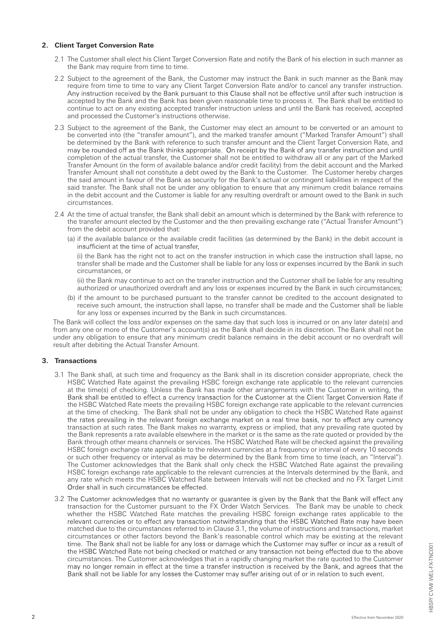## **2. Client Target Conversion Rate**

- 2.1 The Customer shall elect his Client Target Conversion Rate and notify the Bank of his election in such manner as the Bank may require from time to time.
- 2.2 Subject to the agreement of the Bank, the Customer may instruct the Bank in such manner as the Bank may require from time to time to vary any Client Target Conversion Rate and/or to cancel any transfer instruction.<br>Any instruction received by the Bank pursuant to this Clause shall not be effective until after such instructio accepted by the Bank and the Bank has been given reasonable time to process it. The Bank shall be entitled to continue to act on any existing accepted transfer instruction unless and until the Bank has received, accepted and processed the Customer's instructions otherwise.
- 2.3 Subject to the agreement of the Bank, the Customer may elect an amount to be converted or an amount to be converted into (the "transfer amount"), and the marked transfer amount ("Marked Transfer Amount") shall be determined by the Bank with reference to such transfer amount and the Client Target Conversion Rate, and may be rounded off as the Bank thinks appropriate. On receipt by the Bank of any transfer instruction and until completion of the actual transfer, the Customer shall not be entitled to withdraw all or any part of the Marked Transfer Amount (in the form of available balance and/or credit facility) from the debit account and the Marked Transfer Amount shall not constitute a debt owed by the Bank to the Customer. The Customer hereby charges the said amount in favour of the Bank as security for the Bank's actual or contingent liabilities in respect of the said transfer. The Bank shall not be under any obligation to ensure that any minimum credit balance remains in the debit account and the Customer is liable for any resulting overdraft or amount owed to the Bank in such circumstances.
- 2.4 At the time of actual transfer, the Bank shall debit an amount which is determined by the Bank with reference to the transfer amount elected by the Customer and the then prevailing exchange rate ("Actual Transfer Amount") from the debit account provided that:
	- (a) if the available balance or the available credit facilities (as determined by the Bank) in the debit account is insufficient at the time of actual transfer,

(i) the Bank has the right not to act on the transfer instruction in which case the instruction shall lapse, no transfer shall be made and the Customer shall be liable for any loss or expenses incurred by the Bank in such circumstances, or

(ii) the Bank may continue to act on the transfer instruction and the Customer shall be liable for any resulting authorized or unauthorized overdraft and any loss or expenses incurred by the Bank in such circumstances;

(b) if the amount to be purchased pursuant to the transfer cannot be credited to the account designated to receive such amount, the instruction shall lapse, no transfer shall be made and the Customer shall be liable for any loss or expenses incurred by the Bank in such circumstances.

The Bank will collect the loss and/or expenses on the same day that such loss is incurred or on any later date(s) and from any one or more of the Customer's account(s) as the Bank shall decide in its discretion. The Bank shall not be under any obligation to ensure that any minimum credit balance remains in the debit account or no overdraft will result after debiting the Actual Transfer Amount.

## **3. Transactions**

- 3.1 The Bank shall, at such time and frequency as the Bank shall in its discretion consider appropriate, check the HSBC Watched Rate against the prevailing HSBC foreign exchange rate applicable to the relevant currencies at the time(s) of checking. Unless the Bank has made other arrangements with the Customer in writing, the Bank shall be entitled to effect a currency transaction for the Customer at the Client Target Conversion Rate if the HSBC Watched Rate meets the prevailing HSBC foreign exchange rate applicable to the relevant currencies at the time of checking. The Bank shall not be under any obligation to check the HSBC Watched Rate against the rates prevailing in the relevant foreign exchange market on a real time basis, nor to effect any currency transaction at such rates. The Bank makes no warranty, express or implied, that any prevailing rate quoted by the Bank represents a rate available elsewhere in the market or is the same as the rate quoted or provided by the Bank through other means channels or services. The HSBC Watched Rate will be checked against the prevailing HSBC foreign exchange rate applicable to the relevant currencies at a frequency or interval of every 10 seconds or such other frequency or interval as may be determined by the Bank from time to time (each, an "Interval"). The Customer acknowledges that the Bank shall only check the HSBC Watched Rate against the prevailing HSBC foreign exchange rate applicable to the relevant currencies at the Intervals determined by the Bank, and any rate which meets the HSBC Watched Rate between Intervals will not be checked and no FX Target Limit Order shall in such circumstances be effected.
- 3.2 The Customer acknowledges that no warranty or guarantee is given by the Bank that the Bank will effect any transaction for the Customer pursuant to the FX Order Watch Services. The Bank may be unable to check whether the HSBC Watched Rate matches the prevailing HSBC foreign exchange rates applicable to the relevant currencies or to effect any transaction notwithstanding that the HSBC Watched Rate may have been matched due to the circumstances referred to in Clause 3.1, the volume of instructions and transactions, market circumstances or other factors beyond the Bank's reasonable control which may be existing at the relevant time. The Bank shall not be liable for any loss or damage which the Customer may suffer or incur as a result of the HSBC Watched Rate not being checked or matched or any transaction not being effected due to the above circumstances. The Customer acknowledges that in a rapidly changing market the rate quoted to the Customer may no longer remain in effect at the time a transfer instruction is received by the Bank, and agrees that the Bank shall not be liable for any losses the Customer may suffer arising out of or in relation to such event.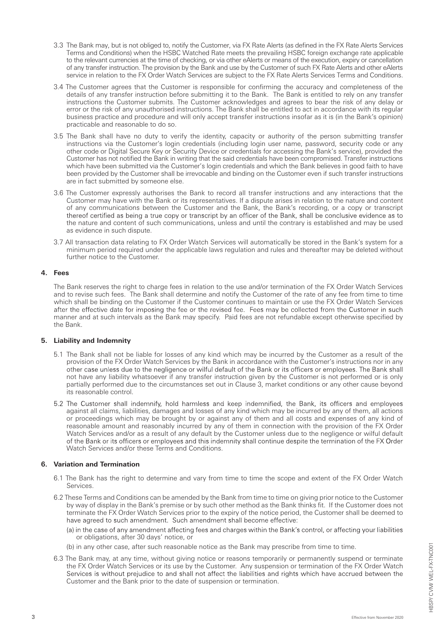- 3.3 The Bank may, but is not obliged to, notify the Customer, via FX Rate Alerts (as defined in the FX Rate Alerts Services Terms and Conditions) when the HSBC Watched Rate meets the prevailing HSBC foreign exchange rate applicable to the relevant currencies at the time of checking, or via other eAlerts or means of the execution, expiry or cancellation of any transfer instruction. The provision by the Bank and use by the Customer of such FX Rate Alerts and other eAlerts service in relation to the FX Order Watch Services are subject to the FX Rate Alerts Services Terms and Conditions.
- 3.4 The Customer agrees that the Customer is responsible for confirming the accuracy and completeness of the details of any transfer instruction before submitting it to the Bank. The Bank is entitled to rely on any transfer instructions the Customer submits. The Customer acknowledges and agrees to bear the risk of any delay or error or the risk of any unauthorised instructions. The Bank shall be entitled to act in accordance with its regular business practice and procedure and will only accept transfer instructions insofar as it is (in the Bank's opinion) practicable and reasonable to do so.
- 3.5 The Bank shall have no duty to verify the identity, capacity or authority of the person submitting transfer instructions via the Customer's login credentials (including login user name, password, security code or any other code or Digital Secure Key or Security Device or credentials for accessing the Bank's service), provided the Customer has not notified the Bank in writing that the said credentials have been compromised. Transfer instructions which have been submitted via the Customer's login credentials and which the Bank believes in good faith to have been provided by the Customer shall be irrevocable and binding on the Customer even if such transfer instructions are in fact submitted by someone else.
- 3.6 The Customer expressly authorises the Bank to record all transfer instructions and any interactions that the Customer may have with the Bank or its representatives. If a dispute arises in relation to the nature and content of any communications between the Customer and the Bank, the Bank's recording, or a copy or transcript thereof certified as being a true copy or transcript by an officer of the Bank, shall be conclusive evidence as to the nature and content of such communications, unless and until the contrary is established and may be used as evidence in such dispute.
- 3.7 All transaction data relating to FX Order Watch Services will automatically be stored in the Bank's system for a minimum period required under the applicable laws regulation and rules and thereafter may be deleted without further notice to the Customer.

## **4. Fees**

The Bank reserves the right to charge fees in relation to the use and/or termination of the FX Order Watch Services and to revise such fees. The Bank shall determine and notify the Customer of the rate of any fee from time to time which shall be binding on the Customer if the Customer continues to maintain or use the FX Order Watch Services after the effective date for imposing the fee or the revised fee. Fees may be collected from the Customer in s manner and at such intervals as the Bank may specify. Paid fees are not refundable except otherwise specified by the Bank.

## **5. Liability and Indemnity**

- 5.1 The Bank shall not be liable for losses of any kind which may be incurred by the Customer as a result of the provision of the FX Order Watch Services by the Bank in accordance with the Customer's instructions nor in any other case unless due to the negligence or wilful default of the Bank or its officers or employees. The Bank shall not have any liability whatsoever if any transfer instruction given by the Customer is not performed or is only partially performed due to the circumstances set out in Clause 3, market conditions or any other cause beyond its reasonable control.
- 5.2 The Customer shall indemnify, hold harmless and keep indemnified, the Bank, its officers and employees against all claims, liabilities, damages and losses of any kind which may be incurred by any of them, all actions or proceedings which may be brought by or against any of them and all costs and expenses of any kind of reasonable amount and reasonably incurred by any of them in connection with the provision of the FX Order Watch Services and/or as a result of any default by the Customer unless due to the negligence or wilful default of the Bank or its officers or employees and this indemnity shall continue despite the termination of the FX Order Watch Services and/or these Terms and Conditions.

## **6. Variation and Termination**

- 6.1 The Bank has the right to determine and vary from time to time the scope and extent of the FX Order Watch Services.
- 6.2 These Terms and Conditions can be amended by the Bank from time to time on giving prior notice to the Customer by way of display in the Bank's premise or by such other method as the Bank thinks fit. If the Customer does not terminate the FX Order Watch Services prior to the expiry of the notice period, the Customer shall be deemed to<br>have agreed to such amendment. Such amendment shall become effective:
	- (a) in the case of any amendment affecting fees and charges within the Bank's control, or affecting your liabilities or obligations, after 30 days' notice, or
	- (b) in any other case, after such reasonable notice as the Bank may prescribe from time to time.
- 6.3 The Bank may, at any time, without giving notice or reasons temporarily or permanently suspend or terminate the FX Order Watch Services or its use by the Customer. Any suspension or termination of the FX Order Watch Services is without prejudice to and shall not affect the liabilities and rights which have accrued between the Customer and the Bank prior to the date of suspension or termination.